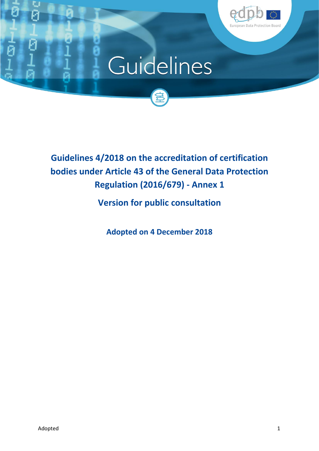

# Guidelines



# **Guidelines 4/2018 on the accreditation of certification bodies under Article 43 of the General Data Protection Regulation (2016/679) - Annex 1**

**Version for public consultation**

**Adopted on 4 December 2018**

C G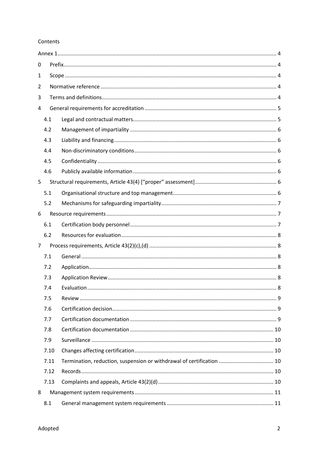#### Contents

| 0 |      |                                                                       |   |  |  |  |
|---|------|-----------------------------------------------------------------------|---|--|--|--|
| 1 |      |                                                                       |   |  |  |  |
| 2 |      |                                                                       |   |  |  |  |
| 3 |      |                                                                       |   |  |  |  |
| 4 |      |                                                                       |   |  |  |  |
|   | 4.1  |                                                                       |   |  |  |  |
|   | 4.2  |                                                                       |   |  |  |  |
|   | 4.3  |                                                                       |   |  |  |  |
|   | 4.4  |                                                                       |   |  |  |  |
|   | 4.5  |                                                                       |   |  |  |  |
|   | 4.6  |                                                                       |   |  |  |  |
| 5 |      |                                                                       |   |  |  |  |
|   | 5.1  |                                                                       |   |  |  |  |
|   | 5.2  |                                                                       |   |  |  |  |
| 6 |      |                                                                       |   |  |  |  |
|   | 6.1  |                                                                       |   |  |  |  |
|   | 6.2  |                                                                       |   |  |  |  |
| 7 |      |                                                                       |   |  |  |  |
|   | 7.1  |                                                                       |   |  |  |  |
|   | 7.2  |                                                                       |   |  |  |  |
|   | 7.3  |                                                                       |   |  |  |  |
|   | 7.4  | Evaluation.                                                           | 8 |  |  |  |
|   | 7.5  |                                                                       |   |  |  |  |
|   | 7.6  |                                                                       |   |  |  |  |
|   | 7.7  |                                                                       |   |  |  |  |
|   | 7.8  |                                                                       |   |  |  |  |
|   | 7.9  |                                                                       |   |  |  |  |
|   | 7.10 |                                                                       |   |  |  |  |
|   | 7.11 | Termination, reduction, suspension or withdrawal of certification  10 |   |  |  |  |
|   | 7.12 |                                                                       |   |  |  |  |
|   | 7.13 |                                                                       |   |  |  |  |
| 8 |      |                                                                       |   |  |  |  |
|   | 8.1  |                                                                       |   |  |  |  |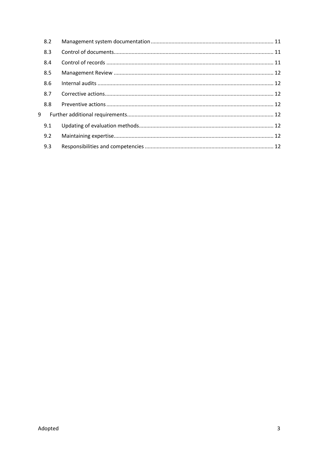|   | 8.2 |  |
|---|-----|--|
|   | 8.3 |  |
|   | 8.4 |  |
|   | 8.5 |  |
|   | 8.6 |  |
|   | 8.7 |  |
|   | 8.8 |  |
| 9 |     |  |
|   | 9.1 |  |
|   | 9.2 |  |
|   | 9.3 |  |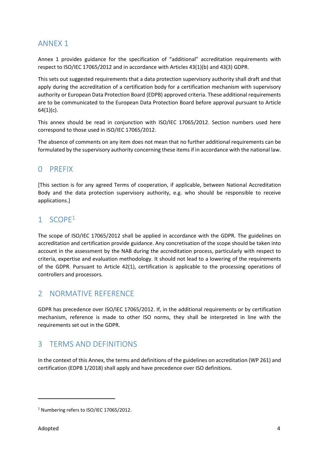# <span id="page-3-0"></span>ANNEX 1

Annex 1 provides guidance for the specification of "additional" accreditation requirements with respect to ISO/IEC 17065/2012 and in accordance with Articles 43(1)(b) and 43(3) GDPR.

This sets out suggested requirements that a data protection supervisory authority shall draft and that apply during the accreditation of a certification body for a certification mechanism with supervisory authority or European Data Protection Board (EDPB) approved criteria. These additional requirements are to be communicated to the European Data Protection Board before approval pursuant to Article  $64(1)(c)$ .

This annex should be read in conjunction with ISO/IEC 17065/2012. Section numbers used here correspond to those used in ISO/IEC 17065/2012.

The absence of comments on any item does not mean that no further additional requirements can be formulated by the supervisory authority concerning these items if in accordance with the national law.

# <span id="page-3-1"></span>0 PREFIX

[This section is for any agreed Terms of cooperation, if applicable, between National Accreditation Body and the data protection supervisory authority, e.g. who should be responsible to receive applications.]

# <span id="page-3-2"></span>1 SCOPE<sup>1</sup>

The scope of ISO/IEC 17065/2012 shall be applied in accordance with the GDPR. The guidelines on accreditation and certification provide guidance. Any concretisation of the scope should be taken into account in the assessment by the NAB during the accreditation process, particularly with respect to criteria, expertise and evaluation methodology. It should not lead to a lowering of the requirements of the GDPR. Pursuant to Article 42(1), certification is applicable to the processing operations of controllers and processors.

# <span id="page-3-3"></span>2 NORMATIVE REFERENCE

GDPR has precedence over ISO/IEC 17065/2012. If, in the additional requirements or by certification mechanism, reference is made to other ISO norms, they shall be interpreted in line with the requirements set out in the GDPR.

# <span id="page-3-4"></span>3 TERMS AND DEFINITIONS

In the context of this Annex, the terms and definitions of the guidelines on accreditation (WP 261) and certification (EDPB 1/2018) shall apply and have precedence over ISO definitions.

 $\overline{\phantom{a}}$ 

<sup>&</sup>lt;sup>1</sup> Numbering refers to ISO/IEC 17065/2012.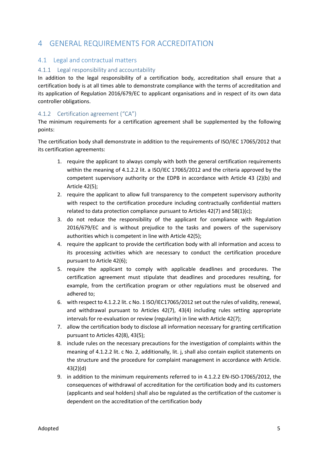# <span id="page-4-0"></span>4 GENERAL REQUIREMENTS FOR ACCREDITATION

# <span id="page-4-1"></span>4.1 Legal and contractual matters

#### 4.1.1 Legal responsibility and accountability

In addition to the legal responsibility of a certification body, accreditation shall ensure that a certification body is at all times able to demonstrate compliance with the terms of accreditation and its application of Regulation 2016/679/EC to applicant organisations and in respect of its own data controller obligations.

# 4.1.2 Certification agreement ("CA")

The minimum requirements for a certification agreement shall be supplemented by the following points:

The certification body shall demonstrate in addition to the requirements of ISO/IEC 17065/2012 that its certification agreements:

- 1. require the applicant to always comply with both the general certification requirements within the meaning of 4.1.2.2 lit. a ISO/IEC 17065/2012 and the criteria approved by the competent supervisory authority or the EDPB in accordance with Article 43 (2)(b) and Article 42(5);
- 2. require the applicant to allow full transparency to the competent supervisory authority with respect to the certification procedure including contractually confidential matters related to data protection compliance pursuant to Articles 42(7) and 58(1)(c);
- 3. do not reduce the responsibility of the applicant for compliance with Regulation 2016/679/EC and is without prejudice to the tasks and powers of the supervisory authorities which is competent in line with Article 42(5);
- 4. require the applicant to provide the certification body with all information and access to its processing activities which are necessary to conduct the certification procedure pursuant to Article 42(6);
- 5. require the applicant to comply with applicable deadlines and procedures. The certification agreement must stipulate that deadlines and procedures resulting, for example, from the certification program or other regulations must be observed and adhered to;
- 6. with respect to 4.1.2.2 lit. c No. 1 ISO/IEC17065/2012 set out the rules of validity, renewal, and withdrawal pursuant to Articles 42(7), 43(4) including rules setting appropriate intervals for re-evaluation or review (regularity) in line with Article 42(7);
- 7. allow the certification body to disclose all information necessary for granting certification pursuant to Articles 42(8), 43(5);
- 8. include rules on the necessary precautions for the investigation of complaints within the meaning of 4.1.2.2 lit. c No. 2, additionally, lit. j, shall also contain explicit statements on the structure and the procedure for complaint management in accordance with Article. 43(2)(d)
- 9. in addition to the minimum requirements referred to in 4.1.2.2 EN-ISO-17065/2012, the consequences of withdrawal of accreditation for the certification body and its customers (applicants and seal holders) shall also be regulated as the certification of the customer is dependent on the accreditation of the certification body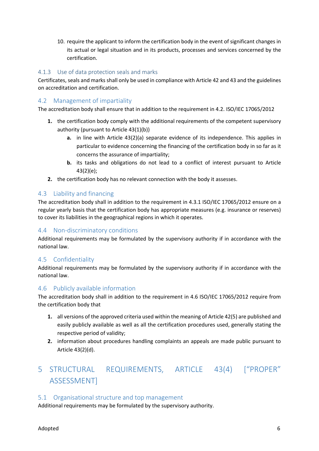10. require the applicant to inform the certification body in the event of significant changes in its actual or legal situation and in its products, processes and services concerned by the certification.

# 4.1.3 Use of data protection seals and marks

Certificates, seals and marks shall only be used in compliance with Article 42 and 43 and the guidelines on accreditation and certification.

# <span id="page-5-0"></span>4.2 Management of impartiality

The accreditation body shall ensure that in addition to the requirement in 4.2. ISO/IEC 17065/2012

- **1.** the certification body comply with the additional requirements of the competent supervisory authority (pursuant to Article 43(1)(b))
	- **a.** in line with Article 43(2)(a) separate evidence of its independence. This applies in particular to evidence concerning the financing of the certification body in so far as it concerns the assurance of impartiality;
	- **b.** its tasks and obligations do not lead to a conflict of interest pursuant to Article 43(2)(e);
- **2.** the certification body has no relevant connection with the body it assesses.

# <span id="page-5-1"></span>4.3 Liability and financing

The accreditation body shall in addition to the requirement in 4.3.1 ISO/IEC 17065/2012 ensure on a regular yearly basis that the certification body has appropriate measures (e.g. insurance or reserves) to cover its liabilities in the geographical regions in which it operates.

# <span id="page-5-2"></span>4.4 Non-discriminatory conditions

Additional requirements may be formulated by the supervisory authority if in accordance with the national law.

# <span id="page-5-3"></span>4.5 Confidentiality

Additional requirements may be formulated by the supervisory authority if in accordance with the national law.

# <span id="page-5-4"></span>4.6 Publicly available information

The accreditation body shall in addition to the requirement in 4.6 ISO/IEC 17065/2012 require from the certification body that

- **1.** all versions of the approved criteria used within the meaning of Article 42(5) are published and easily publicly available as well as all the certification procedures used, generally stating the respective period of validity;
- **2.** information about procedures handling complaints an appeals are made public pursuant to Article 43(2)(d).

# <span id="page-5-5"></span>5 STRUCTURAL REQUIREMENTS, ARTICLE 43(4) ["PROPER" ASSESSMENT]

# <span id="page-5-6"></span>5.1 Organisational structure and top management

Additional requirements may be formulated by the supervisory authority.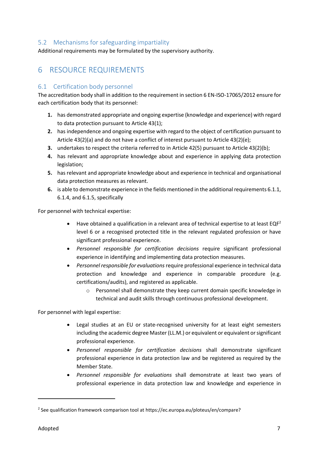# <span id="page-6-0"></span>5.2 Mechanisms for safeguarding impartiality

Additional requirements may be formulated by the supervisory authority.

# <span id="page-6-1"></span>6 RESOURCE REQUIREMENTS

# <span id="page-6-2"></span>6.1 Certification body personnel

The accreditation body shall in addition to the requirement in section 6 EN-ISO-17065/2012 ensure for each certification body that its personnel:

- **1.** has demonstrated appropriate and ongoing expertise (knowledge and experience) with regard to data protection pursuant to Article 43(1);
- **2.** has independence and ongoing expertise with regard to the object of certification pursuant to Article 43(2)(a) and do not have a conflict of interest pursuant to Article 43(2)(e);
- **3.** undertakes to respect the criteria referred to in Article 42(5) pursuant to Article 43(2)(b);
- **4.** has relevant and appropriate knowledge about and experience in applying data protection legislation;
- **5.** has relevant and appropriate knowledge about and experience in technical and organisational data protection measures as relevant.
- **6.** is able to demonstrate experience in the fields mentioned in the additional requirements 6.1.1, 6.1.4, and 6.1.5, specifically

For personnel with technical expertise:

- $\bullet$  Have obtained a qualification in a relevant area of technical expertise to at least EQF<sup>2</sup> level 6 or a recognised protected title in the relevant regulated profession or have significant professional experience.
- *Personnel responsible for certification decisions* require significant professional experience in identifying and implementing data protection measures.
- *Personnel responsible for evaluations*require professional experience in technical data protection and knowledge and experience in comparable procedure (e.g. certifications/audits), and registered as applicable.
	- o Personnel shall demonstrate they keep current domain specific knowledge in technical and audit skills through continuous professional development.

For personnel with legal expertise:

- Legal studies at an EU or state-recognised university for at least eight semesters including the academic degree Master (LL.M.) or equivalent or equivalent or significant professional experience.
- *Personnel responsible for certification decisions* shall demonstrate significant professional experience in data protection law and be registered as required by the Member State.
- *Personnel responsible for evaluations* shall demonstrate at least two years of professional experience in data protection law and knowledge and experience in

 $\overline{\phantom{a}}$ 

<sup>&</sup>lt;sup>2</sup> See qualification framework comparison tool at https://ec.europa.eu/ploteus/en/compare?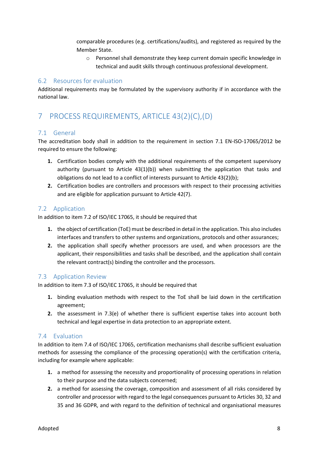comparable procedures (e.g. certifications/audits), and registered as required by the Member State.

o Personnel shall demonstrate they keep current domain specific knowledge in technical and audit skills through continuous professional development.

# <span id="page-7-0"></span>6.2 Resources for evaluation

Additional requirements may be formulated by the supervisory authority if in accordance with the national law.

# <span id="page-7-1"></span>7 PROCESS REQUIREMENTS, ARTICLE 43(2)(C),(D)

# <span id="page-7-2"></span>7.1 General

The accreditation body shall in addition to the requirement in section 7.1 EN-ISO-17065/2012 be required to ensure the following:

- **1.** Certification bodies comply with the additional requirements of the competent supervisory authority (pursuant to Article  $43(1)(b)$ ) when submitting the application that tasks and obligations do not lead to a conflict of interests pursuant to Article 43(2)(b);
- **2.** Certification bodies are controllers and processors with respect to their processing activities and are eligible for application pursuant to Article 42(7).

# <span id="page-7-3"></span>7.2 Application

In addition to item 7.2 of ISO/IEC 17065, it should be required that

- **1.** the object of certification (ToE) must be described in detail in the application. This also includes interfaces and transfers to other systems and organizations, protocols and other assurances;
- **2.** the application shall specify whether processors are used, and when processors are the applicant, their responsibilities and tasks shall be described, and the application shall contain the relevant contract(s) binding the controller and the processors.

# <span id="page-7-4"></span>7.3 Application Review

In addition to item 7.3 of ISO/IEC 17065, it should be required that

- **1.** binding evaluation methods with respect to the ToE shall be laid down in the certification agreement;
- **2.** the assessment in 7.3(e) of whether there is sufficient expertise takes into account both technical and legal expertise in data protection to an appropriate extent.

# <span id="page-7-5"></span>7.4 Evaluation

In addition to item 7.4 of ISO/IEC 17065, certification mechanisms shall describe sufficient evaluation methods for assessing the compliance of the processing operation(s) with the certification criteria, including for example where applicable:

- **1.** a method for assessing the necessity and proportionality of processing operations in relation to their purpose and the data subjects concerned;
- **2.** a method for assessing the coverage, composition and assessment of all risks considered by controller and processor with regard to the legal consequences pursuant to Articles 30, 32 and 35 and 36 GDPR, and with regard to the definition of technical and organisational measures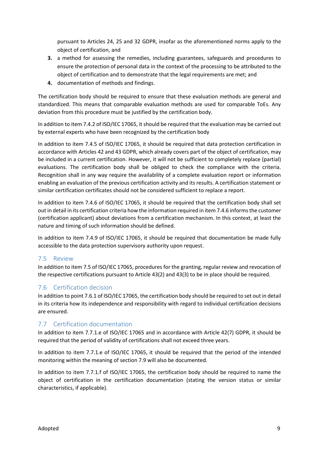pursuant to Articles 24, 25 and 32 GDPR, insofar as the aforementioned norms apply to the object of certification, and

- **3.** a method for assessing the remedies, including guarantees, safeguards and procedures to ensure the protection of personal data in the context of the processing to be attributed to the object of certification and to demonstrate that the legal requirements are met; and
- **4.** documentation of methods and findings.

The certification body should be required to ensure that these evaluation methods are general and standardized. This means that comparable evaluation methods are used for comparable ToEs. Any deviation from this procedure must be justified by the certification body.

In addition to item 7.4.2 of ISO/IEC 17065, it should be required that the evaluation may be carried out by external experts who have been recognized by the certification body

In addition to item 7.4.5 of ISO/IEC 17065, it should be required that data protection certification in accordance with Articles 42 and 43 GDPR, which already covers part of the object of certification, may be included in a current certification. However, it will not be sufficient to completely replace (partial) evaluations. The certification body shall be obliged to check the compliance with the criteria. Recognition shall in any way require the availability of a complete evaluation report or information enabling an evaluation of the previous certification activity and its results. A certification statement or similar certification certificates should not be considered sufficient to replace a report.

In addition to item 7.4.6 of ISO/IEC 17065, it should be required that the certification body shall set out in detail in its certification criteria how the information required in item 7.4.6 informs the customer (certification applicant) about deviations from a certification mechanism. In this context, at least the nature and timing of such information should be defined.

In addition to item 7.4.9 of ISO/IEC 17065, it should be required that documentation be made fully accessible to the data protection supervisory authority upon request.

# <span id="page-8-0"></span>7.5 Review

In addition to item 7.5 of ISO/IEC 17065, procedures for the granting, regular review and revocation of the respective certifications pursuant to Article 43(2) and 43(3) to be in place should be required.

# <span id="page-8-1"></span>7.6 Certification decision

In addition to point 7.6.1 of ISO/IEC 17065, the certification body should be required to set out in detail in its criteria how its independence and responsibility with regard to individual certification decisions are ensured.

# <span id="page-8-2"></span>7.7 Certification documentation

In addition to item 7.7.1.e of ISO/IEC 17065 and in accordance with Article 42(7) GDPR, it should be required that the period of validity of certifications shall not exceed three years.

In addition to item 7.7.1.e of ISO/IEC 17065, it should be required that the period of the intended monitoring within the meaning of section 7.9 will also be documented.

In addition to item 7.7.1.f of ISO/IEC 17065, the certification body should be required to name the object of certification in the certification documentation (stating the version status or similar characteristics, if applicable).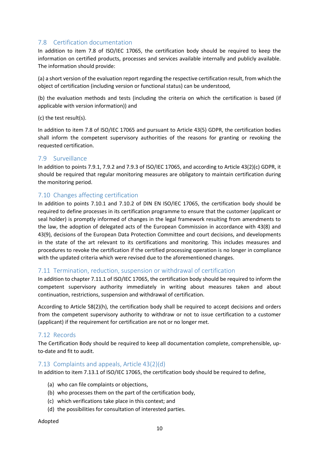# <span id="page-9-0"></span>7.8 Certification documentation

In addition to item 7.8 of ISO/IEC 17065, the certification body should be required to keep the information on certified products, processes and services available internally and publicly available. The information should provide:

(a) a short version of the evaluation report regarding the respective certification result, from which the object of certification (including version or functional status) can be understood,

(b) the evaluation methods and tests (including the criteria on which the certification is based (if applicable with version information)) and

(c) the test result(s).

In addition to item 7.8 of ISO/IEC 17065 and pursuant to Article 43(5) GDPR, the certification bodies shall inform the competent supervisory authorities of the reasons for granting or revoking the requested certification.

# <span id="page-9-1"></span>7.9 Surveillance

In addition to points 7.9.1, 7.9.2 and 7.9.3 of ISO/IEC 17065, and according to Article 43(2)(c) GDPR, it should be required that regular monitoring measures are obligatory to maintain certification during the monitoring period.

# <span id="page-9-2"></span>7.10 Changes affecting certification

In addition to points 7.10.1 and 7.10.2 of DIN EN ISO/IEC 17065, the certification body should be required to define processes in its certification programme to ensure that the customer (applicant or seal holder) is promptly informed of changes in the legal framework resulting from amendments to the law, the adoption of delegated acts of the European Commission in accordance with 43(8) and 43(9), decisions of the European Data Protection Committee and court decisions, and developments in the state of the art relevant to its certifications and monitoring. This includes measures and procedures to revoke the certification if the certified processing operation is no longer in compliance with the updated criteria which were revised due to the aforementioned changes.

# <span id="page-9-3"></span>7.11 Termination, reduction, suspension or withdrawal of certification

In addition to chapter 7.11.1 of ISO/IEC 17065, the certification body should be required to inform the competent supervisory authority immediately in writing about measures taken and about continuation, restrictions, suspension and withdrawal of certification.

According to Article 58(2)(h), the certification body shall be required to accept decisions and orders from the competent supervisory authority to withdraw or not to issue certification to a customer (applicant) if the requirement for certification are not or no longer met.

# <span id="page-9-4"></span>7.12 Records

The Certification Body should be required to keep all documentation complete, comprehensible, upto-date and fit to audit.

# <span id="page-9-5"></span>7.13 Complaints and appeals, Article 43(2)(d)

In addition to item 7.13.1 of ISO/IEC 17065, the certification body should be required to define,

- (a) who can file complaints or objections,
- (b) who processes them on the part of the certification body,
- (c) which verifications take place in this context; and
- (d) the possibilities for consultation of interested parties.

Adopted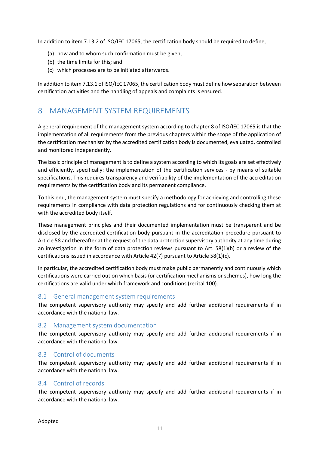In addition to item 7.13.2 of ISO/IEC 17065, the certification body should be required to define,

- (a) how and to whom such confirmation must be given,
- (b) the time limits for this; and
- (c) which processes are to be initiated afterwards.

In addition to item 7.13.1 of ISO/IEC 17065, the certification body must define how separation between certification activities and the handling of appeals and complaints is ensured.

# <span id="page-10-0"></span>8 MANAGEMENT SYSTEM REQUIREMENTS

A general requirement of the management system according to chapter 8 of ISO/IEC 17065 is that the implementation of all requirements from the previous chapters within the scope of the application of the certification mechanism by the accredited certification body is documented, evaluated, controlled and monitored independently.

The basic principle of management is to define a system according to which its goals are set effectively and efficiently, specifically: the implementation of the certification services - by means of suitable specifications. This requires transparency and verifiability of the implementation of the accreditation requirements by the certification body and its permanent compliance.

To this end, the management system must specify a methodology for achieving and controlling these requirements in compliance with data protection regulations and for continuously checking them at with the accredited body itself.

These management principles and their documented implementation must be transparent and be disclosed by the accredited certification body pursuant in the accreditation procedure pursuant to Article 58 and thereafter at the request of the data protection supervisory authority at any time during an investigation in the form of data protection reviews pursuant to Art.  $58(1)(b)$  or a review of the certifications issued in accordance with Article 42(7) pursuant to Article 58(1)(c).

In particular, the accredited certification body must make public permanently and continuously which certifications were carried out on which basis (or certification mechanisms or schemes), how long the certifications are valid under which framework and conditions (recital 100).

# <span id="page-10-1"></span>8.1 General management system requirements

The competent supervisory authority may specify and add further additional requirements if in accordance with the national law.

# <span id="page-10-2"></span>8.2 Management system documentation

The competent supervisory authority may specify and add further additional requirements if in accordance with the national law.

# <span id="page-10-3"></span>8.3 Control of documents

The competent supervisory authority may specify and add further additional requirements if in accordance with the national law.

# <span id="page-10-4"></span>8.4 Control of records

The competent supervisory authority may specify and add further additional requirements if in accordance with the national law.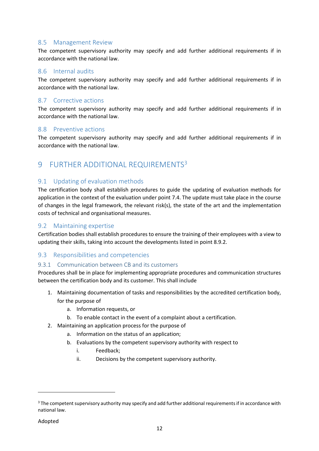# <span id="page-11-0"></span>8.5 Management Review

The competent supervisory authority may specify and add further additional requirements if in accordance with the national law.

#### <span id="page-11-1"></span>8.6 Internal audits

The competent supervisory authority may specify and add further additional requirements if in accordance with the national law.

# <span id="page-11-2"></span>8.7 Corrective actions

The competent supervisory authority may specify and add further additional requirements if in accordance with the national law.

#### <span id="page-11-3"></span>8.8 Preventive actions

The competent supervisory authority may specify and add further additional requirements if in accordance with the national law.

# <span id="page-11-4"></span>9 FURTHER ADDITIONAL REQUIREMENTS<sup>3</sup>

# <span id="page-11-5"></span>9.1 Updating of evaluation methods

The certification body shall establish procedures to guide the updating of evaluation methods for application in the context of the evaluation under point 7.4. The update must take place in the course of changes in the legal framework, the relevant risk(s), the state of the art and the implementation costs of technical and organisational measures.

#### <span id="page-11-6"></span>9.2 Maintaining expertise

Certification bodies shall establish procedures to ensure the training of their employees with a view to updating their skills, taking into account the developments listed in point 8.9.2.

# <span id="page-11-7"></span>9.3 Responsibilities and competencies

#### 9.3.1 Communication between CB and its customers

Procedures shall be in place for implementing appropriate procedures and communication structures between the certification body and its customer. This shall include

- 1. Maintaining documentation of tasks and responsibilities by the accredited certification body, for the purpose of
	- a. Information requests, or
	- b. To enable contact in the event of a complaint about a certification.
- 2. Maintaining an application process for the purpose of
	- a. Information on the status of an application;
	- b. Evaluations by the competent supervisory authority with respect to
		- i. Feedback;
		- ii. Decisions by the competent supervisory authority.

 $\overline{a}$ 

<sup>&</sup>lt;sup>3</sup> The competent supervisory authority may specify and add further additional requirements if in accordance with national law.